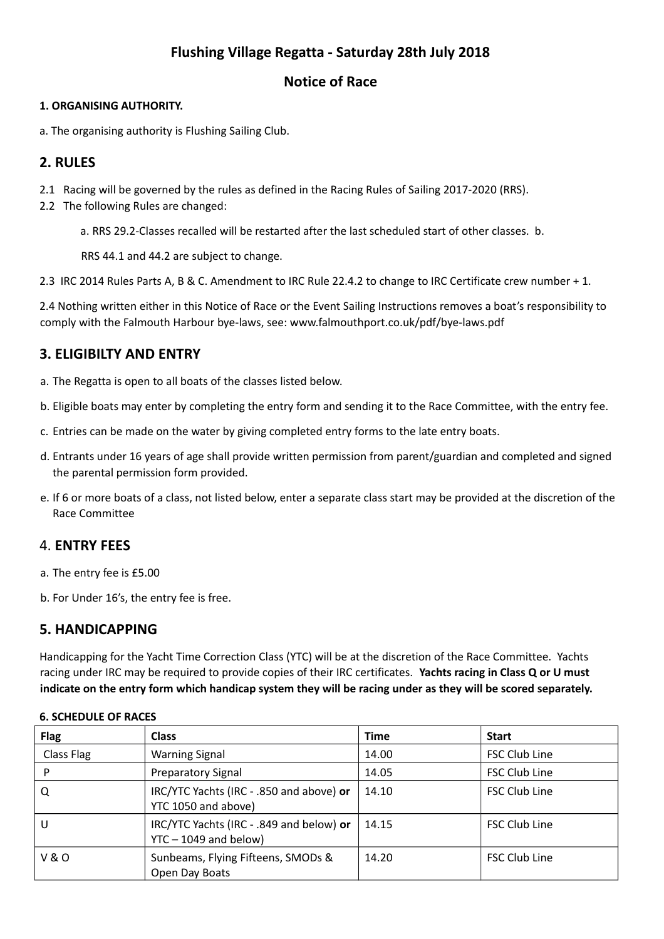# **Flushing Village Regatta - Saturday 28th July 2018**

### **Notice of Race**

#### **1. ORGANISING AUTHORITY.**

a. The organising authority is Flushing Sailing Club.

# **2. RULES**

- 2.1 Racing will be governed by the rules as defined in the Racing Rules of Sailing 2017‐2020 (RRS).
- 2.2 The following Rules are changed:

a. RRS 29.2‐Classes recalled will be restarted after the last scheduled start of other classes. b.

RRS 44.1 and 44.2 are subject to change.

2.3 IRC 2014 Rules Parts A, B & C. Amendment to IRC Rule 22.4.2 to change to IRC Certificate crew number + 1.

2.4 Nothing written either in this Notice of Race or the Event Sailing Instructions removes a boat's responsibility to comply with the Falmouth Harbour bye-laws, see: www.falmouthport.co.uk/pdf/bye-laws.pdf

# **3. ELIGIBILTY AND ENTRY**

- a. The Regatta is open to all boats of the classes listed below.
- b. Eligible boats may enter by completing the entry form and sending it to the Race Committee, with the entry fee.
- c. Entries can be made on the water by giving completed entry forms to the late entry boats.
- d. Entrants under 16 years of age shall provide written permission from parent/guardian and completed and signed the parental permission form provided.
- e. If 6 or more boats of a class, not listed below, enter a separate class start may be provided at the discretion of the Race Committee

### 4. **ENTRY FEES**

- a. The entry fee is £5.00
- b. For Under 16's, the entry fee is free.

### **5. HANDICAPPING**

Handicapping for the Yacht Time Correction Class (YTC) will be at the discretion of the Race Committee. Yachts racing under IRC may be required to provide copies of their IRC certificates. **Yachts racing in Class Q or U must indicate on the entry form which handicap system they will be racing under as they will be scored separately.**

| <b>Flag</b>    | <b>Class</b>                                                        | <b>Time</b> | <b>Start</b>         |
|----------------|---------------------------------------------------------------------|-------------|----------------------|
| Class Flag     | <b>Warning Signal</b>                                               | 14.00       | <b>FSC Club Line</b> |
| P              | <b>Preparatory Signal</b>                                           | 14.05       | <b>FSC Club Line</b> |
| Q              | IRC/YTC Yachts (IRC - .850 and above) or<br>YTC 1050 and above)     | 14.10       | <b>FSC Club Line</b> |
| U              | IRC/YTC Yachts (IRC - .849 and below) or<br>$YTC - 1049$ and below) | 14.15       | <b>FSC Club Line</b> |
| <b>V&amp;O</b> | Sunbeams, Flying Fifteens, SMODs &<br>Open Day Boats                | 14.20       | <b>FSC Club Line</b> |

#### **6. SCHEDULE OF RACES**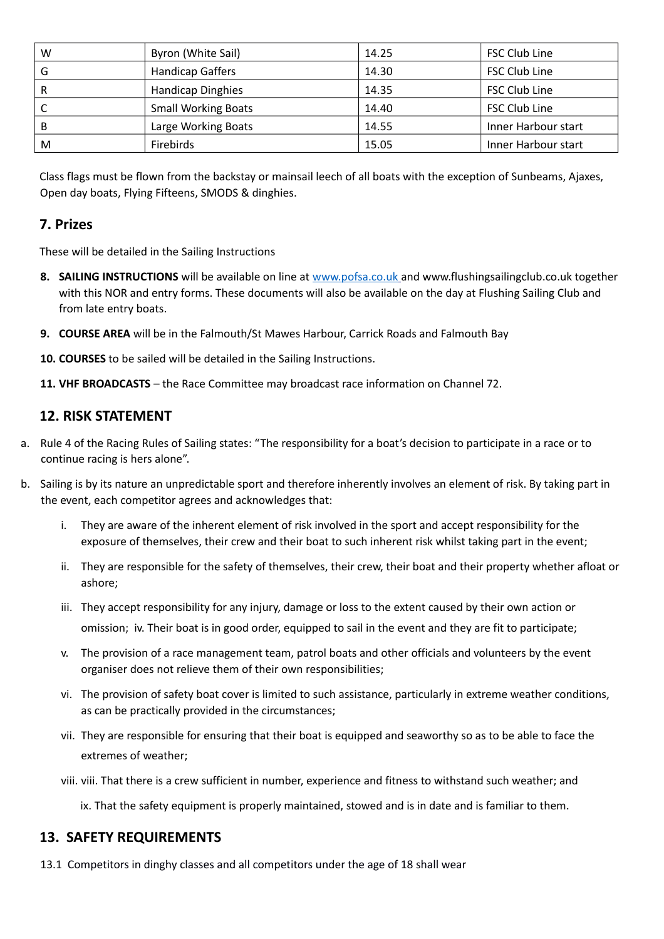| W | Byron (White Sail)         | 14.25 | <b>FSC Club Line</b> |
|---|----------------------------|-------|----------------------|
| G | <b>Handicap Gaffers</b>    | 14.30 | <b>FSC Club Line</b> |
| R | <b>Handicap Dinghies</b>   | 14.35 | <b>FSC Club Line</b> |
| C | <b>Small Working Boats</b> | 14.40 | <b>FSC Club Line</b> |
| B | Large Working Boats        | 14.55 | Inner Harbour start  |
| M | <b>Firebirds</b>           | 15.05 | Inner Harbour start  |

Class flags must be flown from the backstay or mainsail leech of all boats with the exception of Sunbeams, Ajaxes, Open day boats, Flying Fifteens, SMODS & dinghies.

#### **7. Prizes**

These will be detailed in the Sailing Instructions

- **8. SAILING INSTRUCTIONS** will be available on line at [www.pofsa.co.uk](http://www.pofsa.co.uk/) and www.flushingsailingclub.co.uk together with this NOR and entry forms. These documents will also be available on the day at Flushing Sailing Club and from late entry boats.
- **9. COURSE AREA** will be in the Falmouth/St Mawes Harbour, Carrick Roads and Falmouth Bay
- **10. COURSES** to be sailed will be detailed in the Sailing Instructions.
- **11. VHF BROADCASTS** the Race Committee may broadcast race information on Channel 72.

#### **12. RISK STATEMENT**

- a. Rule 4 of the Racing Rules of Sailing states: "The responsibility for a boat's decision to participate in a race or to continue racing is hers alone".
- b. Sailing is by its nature an unpredictable sport and therefore inherently involves an element of risk. By taking part in the event, each competitor agrees and acknowledges that:
	- i. They are aware of the inherent element of risk involved in the sport and accept responsibility for the exposure of themselves, their crew and their boat to such inherent risk whilst taking part in the event;
	- ii. They are responsible for the safety of themselves, their crew, their boat and their property whether afloat or ashore;
	- iii. They accept responsibility for any injury, damage or loss to the extent caused by their own action or omission; iv. Their boat is in good order, equipped to sail in the event and they are fit to participate;
	- v. The provision of a race management team, patrol boats and other officials and volunteers by the event organiser does not relieve them of their own responsibilities;
	- vi. The provision of safety boat cover is limited to such assistance, particularly in extreme weather conditions, as can be practically provided in the circumstances;
	- vii. They are responsible for ensuring that their boat is equipped and seaworthy so as to be able to face the extremes of weather;
	- viii. viii. That there is a crew sufficient in number, experience and fitness to withstand such weather; and

ix. That the safety equipment is properly maintained, stowed and is in date and is familiar to them.

#### **13. SAFETY REQUIREMENTS**

13.1 Competitors in dinghy classes and all competitors under the age of 18 shall wear